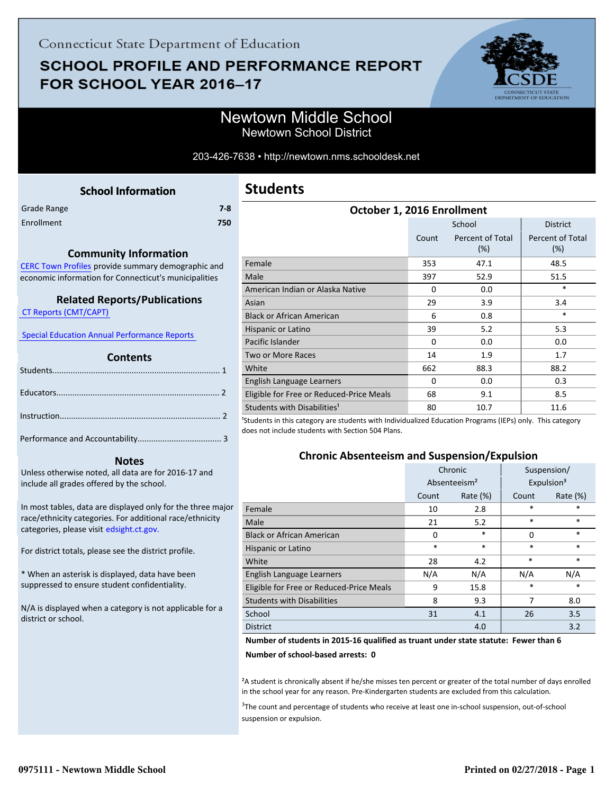# **SCHOOL PROFILE AND PERFORMANCE REPORT** FOR SCHOOL YEAR 2016-17



### Newtown Middle School Newtown School District

#### 203-426-7638 • http://newtown.nms.schooldesk.net

| <b>School Information</b> |
|---------------------------|
|---------------------------|

<span id="page-0-0"></span>

| Grade Range | $7-8$ |
|-------------|-------|
| Enrollment  | 750   |

#### **Community Information**

[CERC Town Profiles provide summary demographic and](http://www.cerc.com/townprofiles/) economic information for Connecticut's municipalities

#### **Related Reports/Publications**

 [CT Reports \(CMT/CAPT\)](http://ctreports.com/) 

 [Special Education Annual Performance Reports](http://edsight.ct.gov/SASPortal/main.do) 

#### **Contents**

#### **Notes**

Unless otherwise noted, all data are for 2016-17 and include all grades offered by the school.

[In most tables, data are displayed only for the three major](http://edsight.ct.gov/) race/ethnicity categories. For additional race/ethnicity categories, please visit edsight.ct.gov.

For district totals, please see the district profile.

\* When an asterisk is displayed, data have been suppressed to ensure student confidentiality.

N/A is displayed when a category is not applicable for a district or school.

| <b>Students</b> |  |
|-----------------|--|
|-----------------|--|

| October 1, 2016 Enrollment               |       |                         |                         |
|------------------------------------------|-------|-------------------------|-------------------------|
|                                          |       | School                  | <b>District</b>         |
|                                          | Count | Percent of Total<br>(%) | Percent of Total<br>(%) |
| Female                                   | 353   | 47.1                    | 48.5                    |
| Male                                     | 397   | 52.9                    | 51.5                    |
| American Indian or Alaska Native         | 0     | 0.0                     | *                       |
| Asian                                    | 29    | 3.9                     | 3.4                     |
| <b>Black or African American</b>         | 6     | 0.8                     | *                       |
| Hispanic or Latino                       | 39    | 5.2                     | 5.3                     |
| Pacific Islander                         | 0     | 0.0                     | 0.0                     |
| Two or More Races                        | 14    | 1.9                     | 1.7                     |
| White                                    | 662   | 88.3                    | 88.2                    |
| English Language Learners                | 0     | 0.0                     | 0.3                     |
| Eligible for Free or Reduced-Price Meals | 68    | 9.1                     | 8.5                     |
| Students with Disabilities <sup>1</sup>  | 80    | 10.7                    | 11.6                    |

<sup>1</sup>Students in this category are students with Individualized Education Programs (IEPs) only. This category does not include students with Section 504 Plans.

#### **Chronic Absenteeism and Suspension/Expulsion**

|                                          |        | Chronic                  |          | Suspension/            |
|------------------------------------------|--------|--------------------------|----------|------------------------|
|                                          |        | Absenteeism <sup>2</sup> |          | Expulsion <sup>3</sup> |
|                                          | Count  | Rate $(\%)$              | Count    | Rate (%)               |
| Female                                   | 10     | 2.8                      | $\ast$   | *                      |
| Male                                     | 21     | 5.2                      | $\ast$   | $\ast$                 |
| <b>Black or African American</b>         | 0      | *                        | $\Omega$ | $\ast$                 |
| Hispanic or Latino                       | $\ast$ | $\ast$                   | $\ast$   | $\ast$                 |
| White                                    | 28     | 4.2                      | $\ast$   | $\ast$                 |
| English Language Learners                | N/A    | N/A                      | N/A      | N/A                    |
| Eligible for Free or Reduced-Price Meals | 9      | 15.8                     | $\ast$   | $\ast$                 |
| <b>Students with Disabilities</b>        | 8      | 9.3                      | 7        | 8.0                    |
| School                                   | 31     | 4.1                      | 26       | 3.5                    |
| <b>District</b>                          |        | 4.0                      |          | 3.2                    |

**Number of students in 2015-16 qualified as truant under state statute: Fewer than 6**

**Number of school-based arrests: 0**

<sup>2</sup>A student is chronically absent if he/she misses ten percent or greater of the total number of days enrolled in the school year for any reason. Pre-Kindergarten students are excluded from this calculation.

<sup>3</sup>The count and percentage of students who receive at least one in-school suspension, out-of-school suspension or expulsion.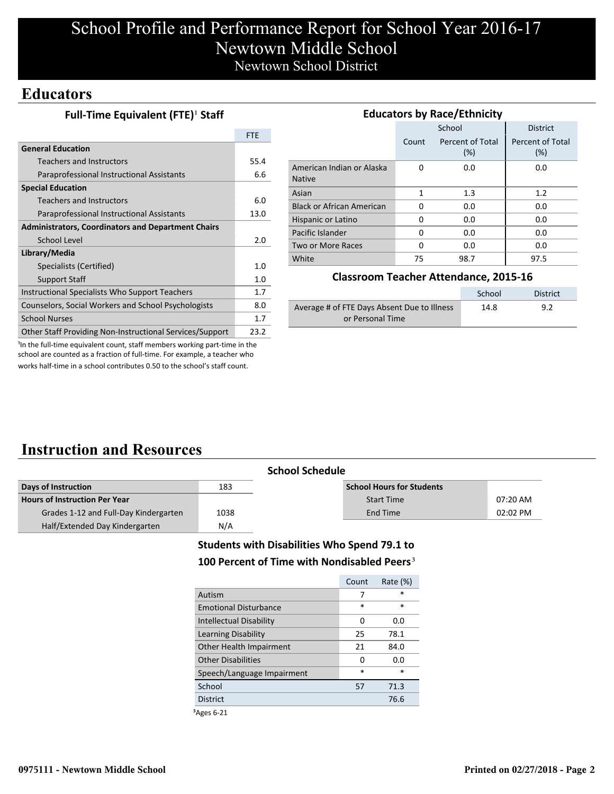# School Profile and Performance Report for School Year 2016-17 Newtown Middle School Newtown School District

### **Educators**

|  | Full-Time Equivalent (FTE) <sup>1</sup> Staff |  |
|--|-----------------------------------------------|--|
|--|-----------------------------------------------|--|

|                                                           | <b>FTE</b> |
|-----------------------------------------------------------|------------|
| <b>General Education</b>                                  |            |
| <b>Teachers and Instructors</b>                           | 55.4       |
| Paraprofessional Instructional Assistants                 | 6.6        |
| <b>Special Education</b>                                  |            |
| <b>Teachers and Instructors</b>                           | 6.0        |
| Paraprofessional Instructional Assistants                 | 13.0       |
| <b>Administrators, Coordinators and Department Chairs</b> |            |
| School Level                                              | 2.0        |
| Library/Media                                             |            |
| Specialists (Certified)                                   | 1.0        |
| <b>Support Staff</b>                                      | 1.0        |
| Instructional Specialists Who Support Teachers            | 1.7        |
| Counselors, Social Workers and School Psychologists       | 8.0        |
| <b>School Nurses</b>                                      | 1.7        |
| Other Staff Providing Non-Instructional Services/Support  | 23.2       |

|                                            |       | <b>Educators by Race/Ethnicity</b> |                         |
|--------------------------------------------|-------|------------------------------------|-------------------------|
|                                            |       | School                             | <b>District</b>         |
|                                            | Count | Percent of Total<br>(%)            | Percent of Total<br>(%) |
| American Indian or Alaska<br><b>Native</b> | 0     | 0.0                                | 0.0                     |
| Asian                                      | 1     | 1.3                                | 1.2                     |
| <b>Black or African American</b>           | 0     | 0.0                                | 0.0                     |
| Hispanic or Latino                         | 0     | 0.0                                | 0.0                     |
| Pacific Islander                           | 0     | 0.0                                | 0.0                     |
| Two or More Races                          | 0     | 0.0                                | 0.0                     |
| White                                      | 75    | 98.7                               | 97.5                    |

#### **Classroom Teacher Attendance, 2015-16**

|                                             | School | <b>District</b> |
|---------------------------------------------|--------|-----------------|
| Average # of FTE Days Absent Due to Illness | 14.8   | 9.2             |
| or Personal Time                            |        |                 |

<sup>1</sup>In the full-time equivalent count, staff members working part-time in the school are counted as a fraction of full-time. For example, a teacher who works half-time in a school contributes 0.50 to the school's staff count.

## **Instruction and Resources**

|                                       |      | <b>School Schedule</b>           |            |
|---------------------------------------|------|----------------------------------|------------|
| Days of Instruction                   | 183  | <b>School Hours for Students</b> |            |
| <b>Hours of Instruction Per Year</b>  |      | <b>Start Time</b>                | $07:20$ AM |
| Grades 1-12 and Full-Day Kindergarten | 1038 | End Time                         | $02:02$ PM |
| Half/Extended Day Kindergarten        | N/A  |                                  |            |

### **Students with Disabilities Who Spend 79.1 to** 100 Percent of Time with Nondisabled Peers<sup>3</sup>

| $\ast$<br>Autism<br>7<br>$\ast$<br>$\ast$<br><b>Emotional Disturbance</b><br><b>Intellectual Disability</b><br>0.0<br>0<br>Learning Disability<br>25<br>78.1<br>Other Health Impairment<br>21<br>84.0 |
|-------------------------------------------------------------------------------------------------------------------------------------------------------------------------------------------------------|
|                                                                                                                                                                                                       |
|                                                                                                                                                                                                       |
|                                                                                                                                                                                                       |
|                                                                                                                                                                                                       |
|                                                                                                                                                                                                       |
| <b>Other Disabilities</b><br>0.0<br>0                                                                                                                                                                 |
| $\ast$<br>$\ast$<br>Speech/Language Impairment                                                                                                                                                        |
| School<br>71.3<br>57                                                                                                                                                                                  |
| <b>District</b><br>76.6                                                                                                                                                                               |

³Ages 6-21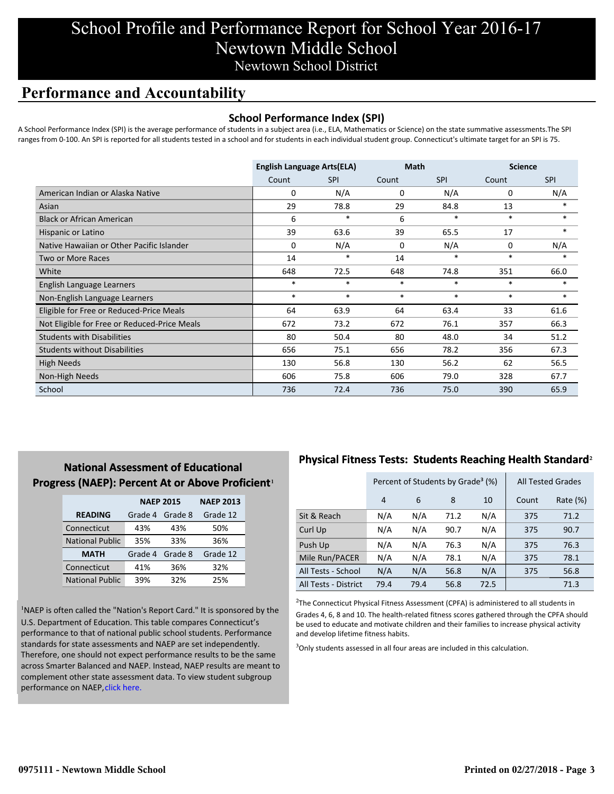# School Profile and Performance Report for School Year 2016-17 Newtown Middle School Newtown School District

## **Performance and Accountability**

#### **School Performance Index (SPI)**

A School Performance Index (SPI) is the average performance of students in a subject area (i.e., ELA, Mathematics or Science) on the state summative assessments.The SPI ranges from 0-100. An SPI is reported for all students tested in a school and for students in each individual student group. Connecticut's ultimate target for an SPI is 75.

|                                              | <b>English Language Arts(ELA)</b> |            | <b>Math</b> |            | <b>Science</b> |            |
|----------------------------------------------|-----------------------------------|------------|-------------|------------|----------------|------------|
|                                              | Count                             | <b>SPI</b> | Count       | <b>SPI</b> | Count          | <b>SPI</b> |
| American Indian or Alaska Native             | 0                                 | N/A        | 0           | N/A        | 0              | N/A        |
| Asian                                        | 29                                | 78.8       | 29          | 84.8       | 13             | $\ast$     |
| <b>Black or African American</b>             | 6                                 | $\ast$     | 6           | $\ast$     | $\ast$         | $\ast$     |
| Hispanic or Latino                           | 39                                | 63.6       | 39          | 65.5       | 17             | $\ast$     |
| Native Hawaiian or Other Pacific Islander    | 0                                 | N/A        | $\mathbf 0$ | N/A        | 0              | N/A        |
| <b>Two or More Races</b>                     | 14                                | $\ast$     | 14          | $\ast$     | $\ast$         | $\ast$     |
| White                                        | 648                               | 72.5       | 648         | 74.8       | 351            | 66.0       |
| English Language Learners                    | $\ast$                            | $\ast$     | $\ast$      | $\ast$     | $\ast$         | $\ast$     |
| Non-English Language Learners                | $\ast$                            | $\ast$     | $\ast$      | $\ast$     | $\ast$         | $\ast$     |
| Eligible for Free or Reduced-Price Meals     | 64                                | 63.9       | 64          | 63.4       | 33             | 61.6       |
| Not Eligible for Free or Reduced-Price Meals | 672                               | 73.2       | 672         | 76.1       | 357            | 66.3       |
| <b>Students with Disabilities</b>            | 80                                | 50.4       | 80          | 48.0       | 34             | 51.2       |
| <b>Students without Disabilities</b>         | 656                               | 75.1       | 656         | 78.2       | 356            | 67.3       |
| <b>High Needs</b>                            | 130                               | 56.8       | 130         | 56.2       | 62             | 56.5       |
| Non-High Needs                               | 606                               | 75.8       | 606         | 79.0       | 328            | 67.7       |
| School                                       | 736                               | 72.4       | 736         | 75.0       | 390            | 65.9       |

### **National Assessment of Educational Progress (NAEP): Percent At or Above Proficient1**

|                        | <b>NAEP 2015</b> |         | <b>NAEP 2013</b> |
|------------------------|------------------|---------|------------------|
| <b>READING</b>         | Grade 4          | Grade 8 | Grade 12         |
| Connecticut            | 43%              | 43%     | 50%              |
| <b>National Public</b> | 35%              | 33%     | 36%              |
| <b>MATH</b>            | Grade 4          | Grade 8 | Grade 12         |
| Connecticut            | 41%              | 36%     | 32%              |
| <b>National Public</b> | 39%              | 32%     | 25%              |

<sup>1</sup>NAEP is often called the "Nation's Report Card." It is sponsored by the U.S. Department of Education. This table compares Connecticut's performance to that of national public school students. Performance standards for state assessments and NAEP are set independently. Therefore, one should not expect performance results to be the same [across Smarter Balanced and NAEP. Instead, NAEP results are meant to](http://portal.ct.gov/-/media/SDE/Student-Assessment/NAEP/ct_naep_2015_results_by_performance_level.pdf?la=en) complement other state assessment data. To view student subgroup performance on NAEP, click here.

### **Physical Fitness Tests: Students Reaching Health Standard**²

|                      |                | Percent of Students by Grade <sup>3</sup> (%) | <b>All Tested Grades</b> |      |       |          |
|----------------------|----------------|-----------------------------------------------|--------------------------|------|-------|----------|
|                      | $\overline{4}$ | 6                                             | 8                        | 10   | Count | Rate (%) |
| Sit & Reach          | N/A            | N/A                                           | 71.2                     | N/A  | 375   | 71.2     |
| Curl Up              | N/A            | N/A                                           | 90.7                     | N/A  | 375   | 90.7     |
| Push Up              | N/A            | N/A                                           | 76.3                     | N/A  | 375   | 76.3     |
| Mile Run/PACER       | N/A            | N/A                                           | 78.1                     | N/A  | 375   | 78.1     |
| All Tests - School   | N/A            | N/A                                           | 56.8                     | N/A  | 375   | 56.8     |
| All Tests - District | 79.4           | 79.4                                          | 56.8                     | 72.5 |       | 71.3     |

 $2$ The Connecticut Physical Fitness Assessment (CPFA) is administered to all students in Grades 4, 6, 8 and 10. The health-related fitness scores gathered through the CPFA should be used to educate and motivate children and their families to increase physical activity and develop lifetime fitness habits.

<sup>3</sup>Only students assessed in all four areas are included in this calculation.